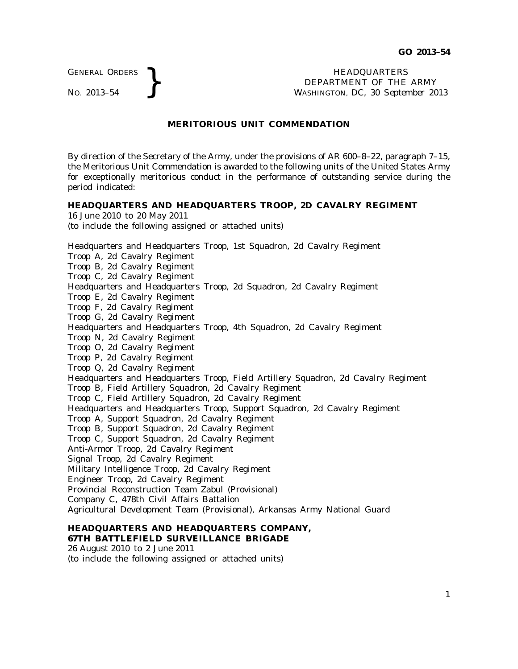GENERAL ORDERS

16 June 2010 to 20 May 2011

GENERAL ORDERS **REAL ORDERS**<br>No. 2013–54 **BEPARTMENT OF THE**<br>WASHINGTON, DC, 30 Septer DEPARTMENT OF THE ARMY WASHINGTON, DC, *30 September 2013*

## **MERITORIOUS UNIT COMMENDATION**

By direction of the Secretary of the Army, under the provisions of AR 600–8–22, paragraph 7–15, the Meritorious Unit Commendation is awarded to the following units of the United States Army for exceptionally meritorious conduct in the performance of outstanding service during the period indicated:

### **HEADQUARTERS AND HEADQUARTERS TROOP, 2D CAVALRY REGIMENT**

(to include the following assigned or attached units) Headquarters and Headquarters Troop, 1st Squadron, 2d Cavalry Regiment Troop A, 2d Cavalry Regiment Troop B, 2d Cavalry Regiment Troop C, 2d Cavalry Regiment Headquarters and Headquarters Troop, 2d Squadron, 2d Cavalry Regiment Troop E, 2d Cavalry Regiment Troop F, 2d Cavalry Regiment Troop G, 2d Cavalry Regiment Headquarters and Headquarters Troop, 4th Squadron, 2d Cavalry Regiment Troop N, 2d Cavalry Regiment Troop O, 2d Cavalry Regiment Troop P, 2d Cavalry Regiment Troop Q, 2d Cavalry Regiment Headquarters and Headquarters Troop, Field Artillery Squadron, 2d Cavalry Regiment Troop B, Field Artillery Squadron, 2d Cavalry Regiment Troop C, Field Artillery Squadron, 2d Cavalry Regiment Headquarters and Headquarters Troop, Support Squadron, 2d Cavalry Regiment Troop A, Support Squadron, 2d Cavalry Regiment Troop B, Support Squadron, 2d Cavalry Regiment Troop C, Support Squadron, 2d Cavalry Regiment Anti-Armor Troop, 2d Cavalry Regiment Signal Troop, 2d Cavalry Regiment Military Intelligence Troop, 2d Cavalry Regiment Engineer Troop, 2d Cavalry Regiment Provincial Reconstruction Team Zabul (Provisional) Company C, 478th Civil Affairs Battalion Agricultural Development Team (Provisional), Arkansas Army National Guard

### **HEADQUARTERS AND HEADQUARTERS COMPANY, 67TH BATTLEFIELD SURVEILLANCE BRIGADE**

26 August 2010 to 2 June 2011

(to include the following assigned or attached units)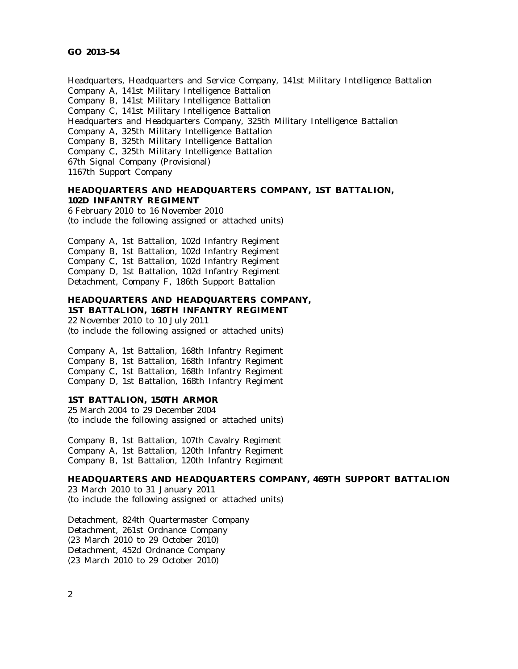Headquarters, Headquarters and Service Company, 141st Military Intelligence Battalion Company A, 141st Military Intelligence Battalion Company B, 141st Military Intelligence Battalion Company C, 141st Military Intelligence Battalion Headquarters and Headquarters Company, 325th Military Intelligence Battalion Company A, 325th Military Intelligence Battalion Company B, 325th Military Intelligence Battalion Company C, 325th Military Intelligence Battalion 67th Signal Company (Provisional) 1167th Support Company

# **HEADQUARTERS AND HEADQUARTERS COMPANY, 1ST BATTALION, 102D INFANTRY REGIMENT**

6 February 2010 to 16 November 2010 (to include the following assigned or attached units)

Company A, 1st Battalion, 102d Infantry Regiment Company B, 1st Battalion, 102d Infantry Regiment Company C, 1st Battalion, 102d Infantry Regiment Company D, 1st Battalion, 102d Infantry Regiment Detachment, Company F, 186th Support Battalion

### **HEADQUARTERS AND HEADQUARTERS COMPANY, 1ST BATTALION, 168TH INFANTRY REGIMENT**

22 November 2010 to 10 July 2011 (to include the following assigned or attached units)

Company A, 1st Battalion, 168th Infantry Regiment Company B, 1st Battalion, 168th Infantry Regiment Company C, 1st Battalion, 168th Infantry Regiment Company D, 1st Battalion, 168th Infantry Regiment

### **1ST BATTALION, 150TH ARMOR**

25 March 2004 to 29 December 2004 (to include the following assigned or attached units)

Company B, 1st Battalion, 107th Cavalry Regiment Company A, 1st Battalion, 120th Infantry Regiment Company B, 1st Battalion, 120th Infantry Regiment

### **HEADQUARTERS AND HEADQUARTERS COMPANY, 469TH SUPPORT BATTALION**

23 March 2010 to 31 January 2011 (to include the following assigned or attached units)

Detachment, 824th Quartermaster Company Detachment, 261st Ordnance Company (23 March 2010 to 29 October 2010) Detachment, 452d Ordnance Company (23 March 2010 to 29 October 2010)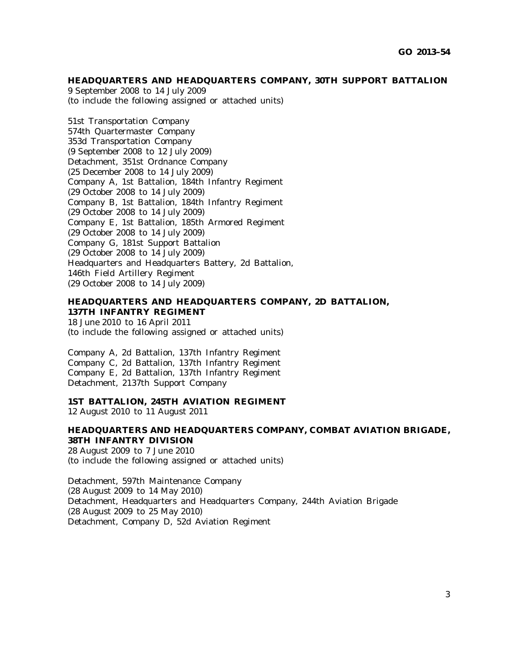### **HEADQUARTERS AND HEADQUARTERS COMPANY, 30TH SUPPORT BATTALION**

9 September 2008 to 14 July 2009 (to include the following assigned or attached units)

51st Transportation Company 574th Quartermaster Company 353d Transportation Company (9 September 2008 to 12 July 2009) Detachment, 351st Ordnance Company (25 December 2008 to 14 July 2009) Company A, 1st Battalion, 184th Infantry Regiment (29 October 2008 to 14 July 2009) Company B, 1st Battalion, 184th Infantry Regiment (29 October 2008 to 14 July 2009) Company E, 1st Battalion, 185th Armored Regiment (29 October 2008 to 14 July 2009) Company G, 181st Support Battalion (29 October 2008 to 14 July 2009) Headquarters and Headquarters Battery, 2d Battalion, 146th Field Artillery Regiment (29 October 2008 to 14 July 2009)

# **HEADQUARTERS AND HEADQUARTERS COMPANY, 2D BATTALION, 137TH INFANTRY REGIMENT**

18 June 2010 to 16 April 2011 (to include the following assigned or attached units)

Company A, 2d Battalion, 137th Infantry Regiment Company C, 2d Battalion, 137th Infantry Regiment Company E, 2d Battalion, 137th Infantry Regiment Detachment, 2137th Support Company

### **1ST BATTALION, 245TH AVIATION REGIMENT**

12 August 2010 to 11 August 2011

# **HEADQUARTERS AND HEADQUARTERS COMPANY, COMBAT AVIATION BRIGADE, 38TH INFANTRY DIVISION**

28 August 2009 to 7 June 2010 (to include the following assigned or attached units)

Detachment, 597th Maintenance Company (28 August 2009 to 14 May 2010) Detachment, Headquarters and Headquarters Company, 244th Aviation Brigade (28 August 2009 to 25 May 2010) Detachment, Company D, 52d Aviation Regiment